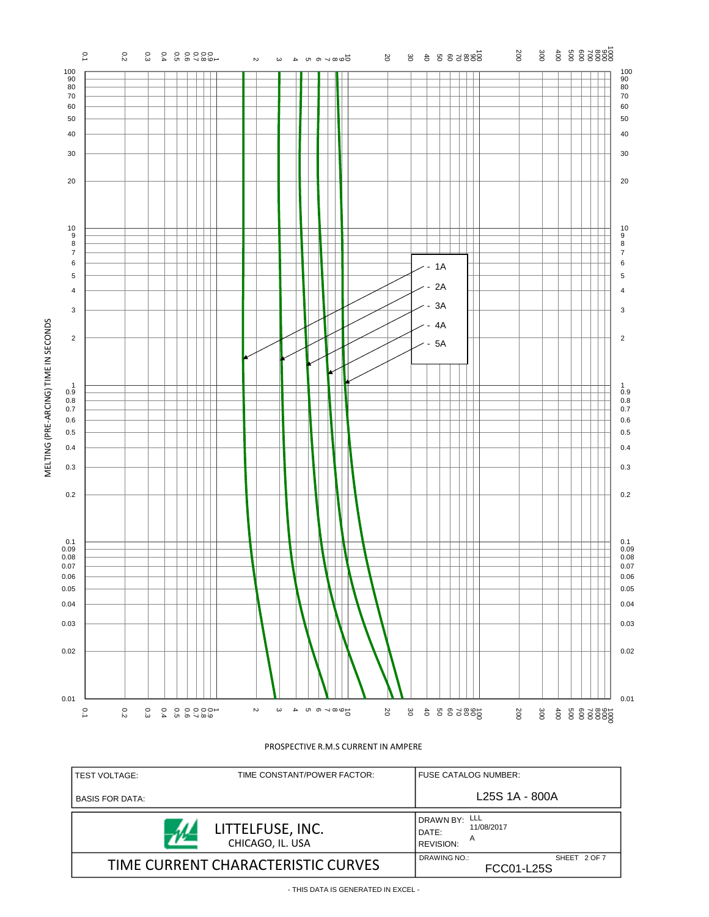

| TIME CONSTANT/POWER FACTOR:<br><b>TEST VOLTAGE:</b> | <b>FUSE CATALOG NUMBER:</b>                                                |  |  |
|-----------------------------------------------------|----------------------------------------------------------------------------|--|--|
| <b>BASIS FOR DATA:</b>                              | L <sub>25</sub> S 1A - 800A                                                |  |  |
| LITTELFUSE, INC.<br>CHICAGO, IL. USA                | ' DRAWN BY: <sup>LLL</sup><br>11/08/2017<br>DATE:<br>А<br><b>REVISION:</b> |  |  |
| TIME CURRENT CHARACTERISTIC CURVES                  | DRAWING NO.:<br>SHEET 2 OF 7<br>FCC01-L25S                                 |  |  |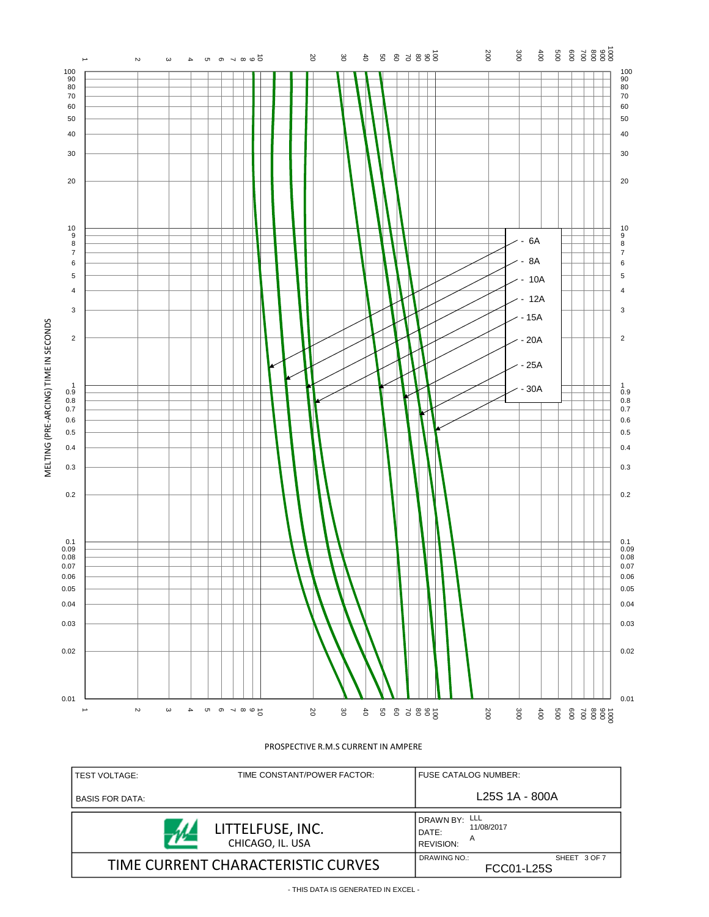

| TIME CONSTANT/POWER FACTOR:<br><b>TEST VOLTAGE:</b> | FUSE CATALOG NUMBER:                                   |  |  |
|-----------------------------------------------------|--------------------------------------------------------|--|--|
| <b>BASIS FOR DATA:</b>                              | L <sub>25</sub> S 1A - 800A                            |  |  |
| LITTELFUSE, INC.<br>CHICAGO, IL. USA                | DRAWN BY: LLL<br>11/08/2017<br>DATE:<br>A<br>REVISION: |  |  |
| TIME CURRENT CHARACTERISTIC CURVES                  | DRAWING NO.:<br>SHEET 3 OF 7<br>FCC01-L25S             |  |  |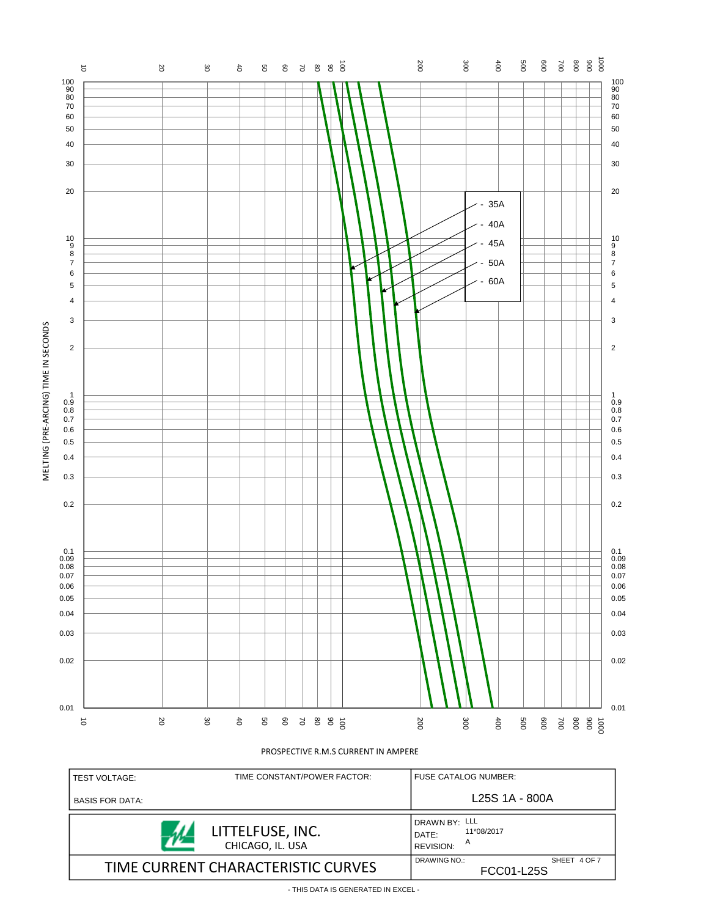

BASIS FOR DATA: DRAWN BY: LLL LITTELFUSE, INC. 11\*08/2017 DATE: 72 A CHICAGO, IL. USA REVISION: TIME CURRENT CHARACTERISTIC CURVES SHEET 4 OF 7 FCC01-L25S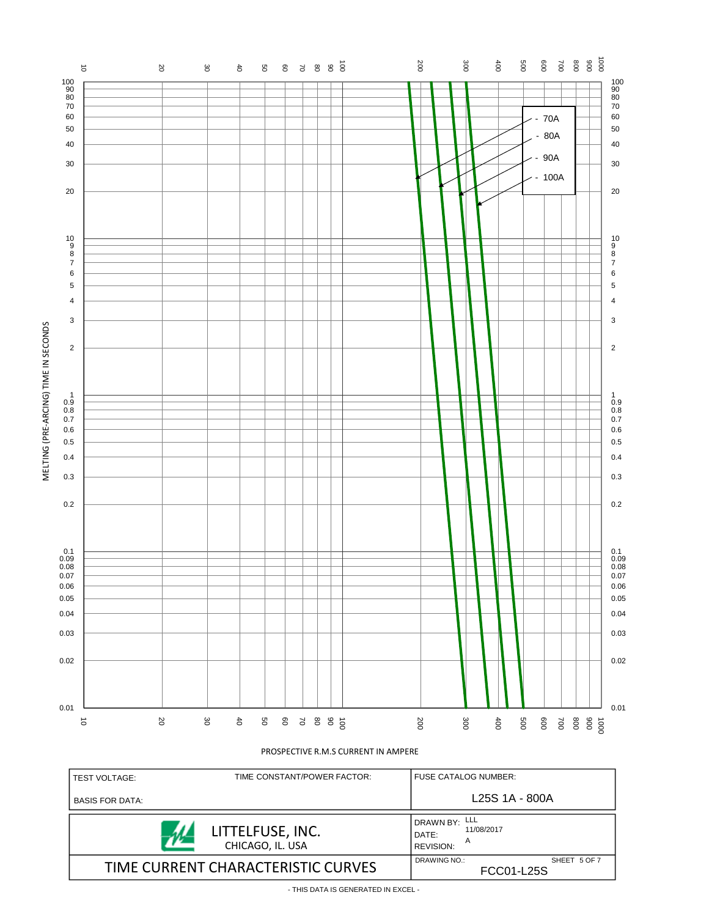

| <b>TEST VOLTAGE:</b>   | TIME CONSTANT/POWER FACTOR:          |                                                                 | FUSE CATALOG NUMBER:       |  |  |
|------------------------|--------------------------------------|-----------------------------------------------------------------|----------------------------|--|--|
| <b>BASIS FOR DATA:</b> |                                      |                                                                 | L25S 1A - 800A             |  |  |
|                        | LITTELFUSE, INC.<br>CHICAGO, IL. USA | I DRAWN BY: LLL<br>11/08/2017<br>DATE:<br>A<br><b>REVISION:</b> |                            |  |  |
|                        | TIME CURRENT CHARACTERISTIC CURVES   | DRAWING NO.:                                                    | SHEET 5 OF 7<br>FCC01-L25S |  |  |

- THIS DATA IS GENERATED IN EXCEL -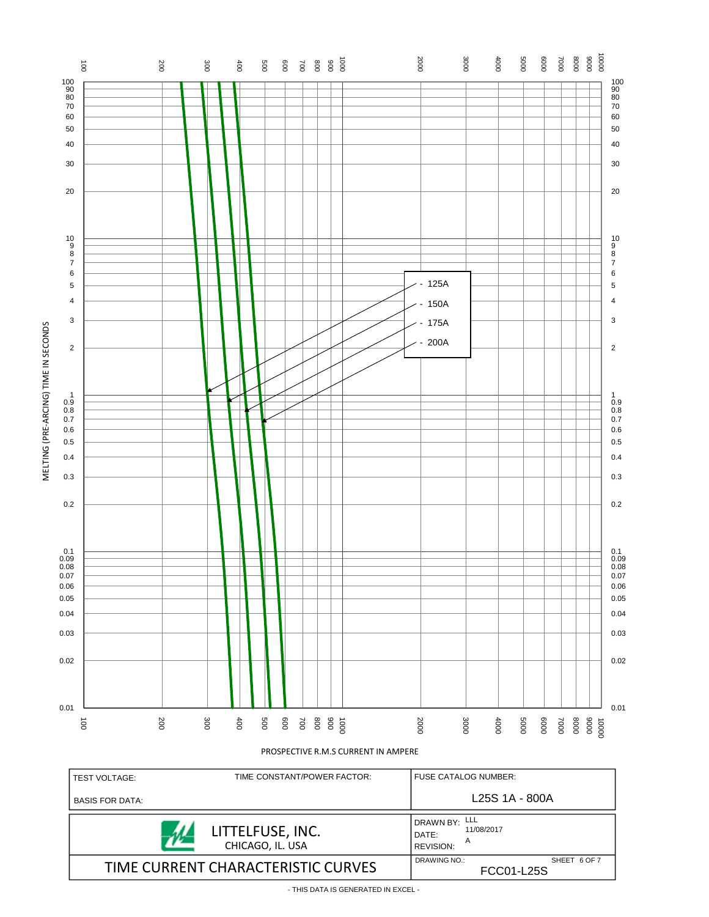

- THIS DATA IS GENERATED IN EXCEL -